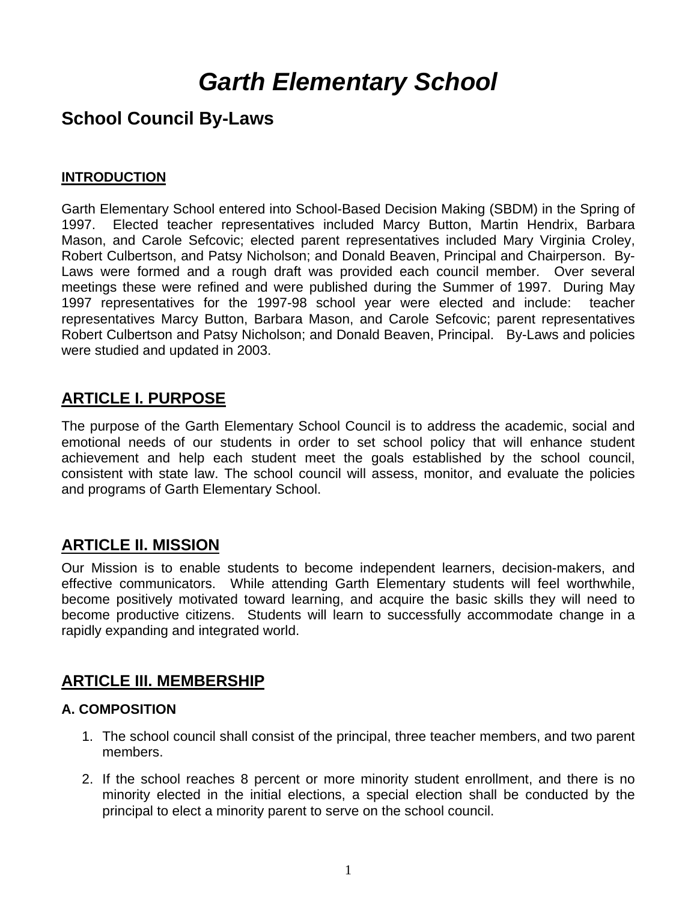# *Garth Elementary School*

# **School Council By-Laws**

#### **INTRODUCTION**

Garth Elementary School entered into School-Based Decision Making (SBDM) in the Spring of 1997. Elected teacher representatives included Marcy Button, Martin Hendrix, Barbara Mason, and Carole Sefcovic; elected parent representatives included Mary Virginia Croley, Robert Culbertson, and Patsy Nicholson; and Donald Beaven, Principal and Chairperson. By-Laws were formed and a rough draft was provided each council member. Over several meetings these were refined and were published during the Summer of 1997. During May 1997 representatives for the 1997-98 school year were elected and include: teacher representatives Marcy Button, Barbara Mason, and Carole Sefcovic; parent representatives Robert Culbertson and Patsy Nicholson; and Donald Beaven, Principal. By-Laws and policies were studied and updated in 2003.

# **ARTICLE I. PURPOSE**

The purpose of the Garth Elementary School Council is to address the academic, social and emotional needs of our students in order to set school policy that will enhance student achievement and help each student meet the goals established by the school council, consistent with state law. The school council will assess, monitor, and evaluate the policies and programs of Garth Elementary School.

# **ARTICLE II. MISSION**

Our Mission is to enable students to become independent learners, decision-makers, and effective communicators. While attending Garth Elementary students will feel worthwhile, become positively motivated toward learning, and acquire the basic skills they will need to become productive citizens. Students will learn to successfully accommodate change in a rapidly expanding and integrated world.

# **ARTICLE III. MEMBERSHIP**

#### **A. COMPOSITION**

- 1. The school council shall consist of the principal, three teacher members, and two parent members.
- 2. If the school reaches 8 percent or more minority student enrollment, and there is no minority elected in the initial elections, a special election shall be conducted by the principal to elect a minority parent to serve on the school council.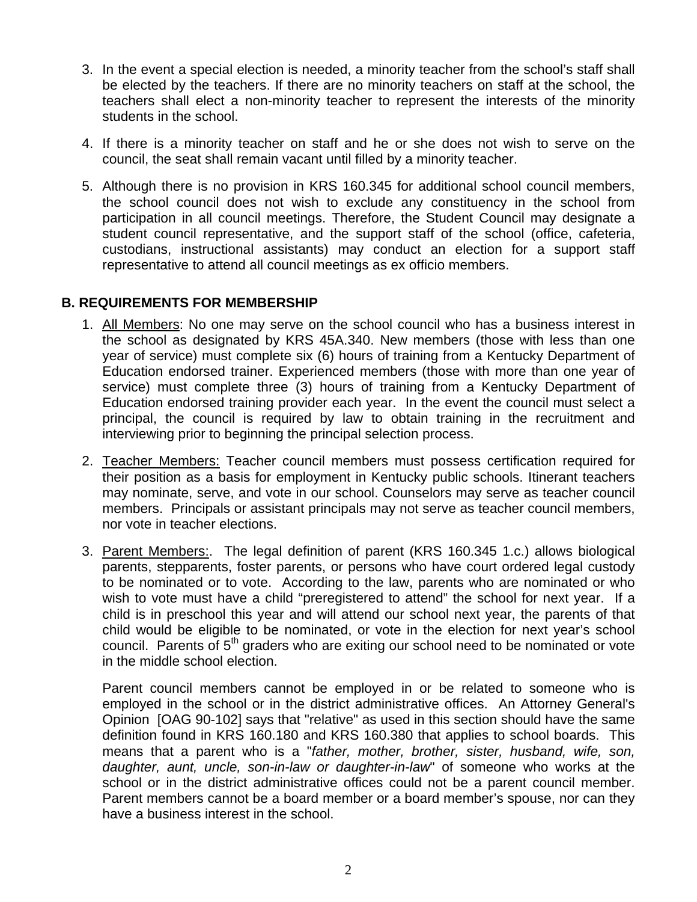- 3. In the event a special election is needed, a minority teacher from the school's staff shall be elected by the teachers. If there are no minority teachers on staff at the school, the teachers shall elect a non-minority teacher to represent the interests of the minority students in the school.
- 4. If there is a minority teacher on staff and he or she does not wish to serve on the council, the seat shall remain vacant until filled by a minority teacher.
- 5. Although there is no provision in KRS 160.345 for additional school council members, the school council does not wish to exclude any constituency in the school from participation in all council meetings. Therefore, the Student Council may designate a student council representative, and the support staff of the school (office, cafeteria, custodians, instructional assistants) may conduct an election for a support staff representative to attend all council meetings as ex officio members.

#### **B. REQUIREMENTS FOR MEMBERSHIP**

- 1. All Members: No one may serve on the school council who has a business interest in the school as designated by KRS 45A.340. New members (those with less than one year of service) must complete six (6) hours of training from a Kentucky Department of Education endorsed trainer. Experienced members (those with more than one year of service) must complete three (3) hours of training from a Kentucky Department of Education endorsed training provider each year. In the event the council must select a principal, the council is required by law to obtain training in the recruitment and interviewing prior to beginning the principal selection process.
- 2. Teacher Members: Teacher council members must possess certification required for their position as a basis for employment in Kentucky public schools. Itinerant teachers may nominate, serve, and vote in our school. Counselors may serve as teacher council members. Principals or assistant principals may not serve as teacher council members, nor vote in teacher elections.
- 3. Parent Members:. The legal definition of parent (KRS 160.345 1.c.) allows biological parents, stepparents, foster parents, or persons who have court ordered legal custody to be nominated or to vote. According to the law, parents who are nominated or who wish to vote must have a child "preregistered to attend" the school for next year. If a child is in preschool this year and will attend our school next year, the parents of that child would be eligible to be nominated, or vote in the election for next year's school council. Parents of  $5<sup>th</sup>$  graders who are exiting our school need to be nominated or vote in the middle school election.

Parent council members cannot be employed in or be related to someone who is employed in the school or in the district administrative offices. An Attorney General's Opinion [OAG 90-102] says that "relative" as used in this section should have the same definition found in KRS 160.180 and KRS 160.380 that applies to school boards. This means that a parent who is a "*father, mother, brother, sister, husband, wife, son, daughter, aunt, uncle, son-in-law or daughter-in-law*" of someone who works at the school or in the district administrative offices could not be a parent council member. Parent members cannot be a board member or a board member's spouse, nor can they have a business interest in the school.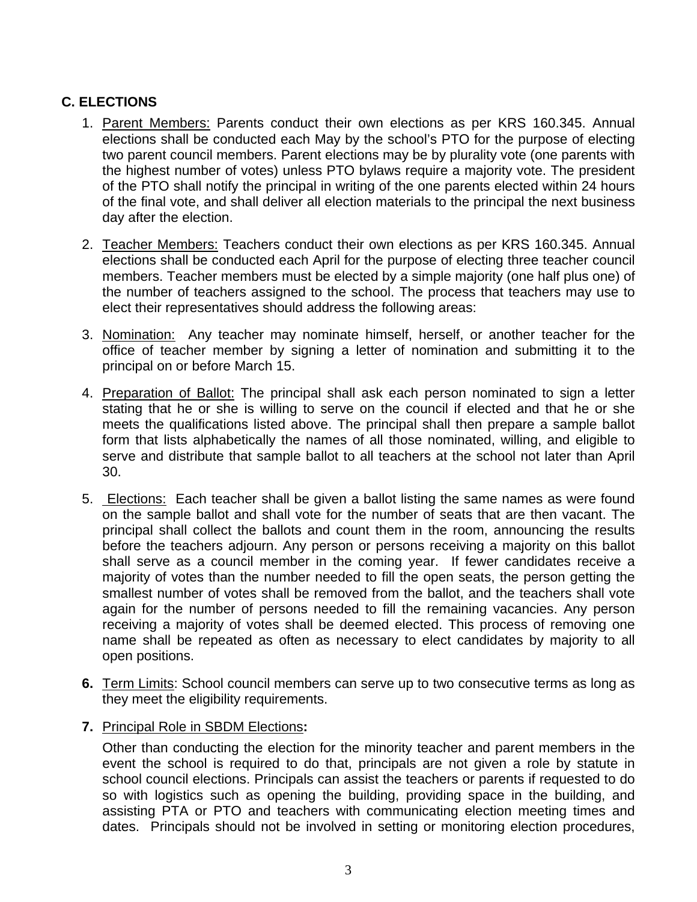# **C. ELECTIONS**

- 1. Parent Members: Parents conduct their own elections as per KRS 160.345. Annual elections shall be conducted each May by the school's PTO for the purpose of electing two parent council members. Parent elections may be by plurality vote (one parents with the highest number of votes) unless PTO bylaws require a majority vote. The president of the PTO shall notify the principal in writing of the one parents elected within 24 hours of the final vote, and shall deliver all election materials to the principal the next business day after the election.
- 2. Teacher Members: Teachers conduct their own elections as per KRS 160.345. Annual elections shall be conducted each April for the purpose of electing three teacher council members. Teacher members must be elected by a simple majority (one half plus one) of the number of teachers assigned to the school. The process that teachers may use to elect their representatives should address the following areas:
- 3. Nomination: Any teacher may nominate himself, herself, or another teacher for the office of teacher member by signing a letter of nomination and submitting it to the principal on or before March 15.
- 4. Preparation of Ballot: The principal shall ask each person nominated to sign a letter stating that he or she is willing to serve on the council if elected and that he or she meets the qualifications listed above. The principal shall then prepare a sample ballot form that lists alphabetically the names of all those nominated, willing, and eligible to serve and distribute that sample ballot to all teachers at the school not later than April 30.
- 5. Elections: Each teacher shall be given a ballot listing the same names as were found on the sample ballot and shall vote for the number of seats that are then vacant. The principal shall collect the ballots and count them in the room, announcing the results before the teachers adjourn. Any person or persons receiving a majority on this ballot shall serve as a council member in the coming year. If fewer candidates receive a majority of votes than the number needed to fill the open seats, the person getting the smallest number of votes shall be removed from the ballot, and the teachers shall vote again for the number of persons needed to fill the remaining vacancies. Any person receiving a majority of votes shall be deemed elected. This process of removing one name shall be repeated as often as necessary to elect candidates by majority to all open positions.
- **6.** Term Limits: School council members can serve up to two consecutive terms as long as they meet the eligibility requirements.
- **7.** Principal Role in SBDM Elections**:**

Other than conducting the election for the minority teacher and parent members in the event the school is required to do that, principals are not given a role by statute in school council elections. Principals can assist the teachers or parents if requested to do so with logistics such as opening the building, providing space in the building, and assisting PTA or PTO and teachers with communicating election meeting times and dates. Principals should not be involved in setting or monitoring election procedures,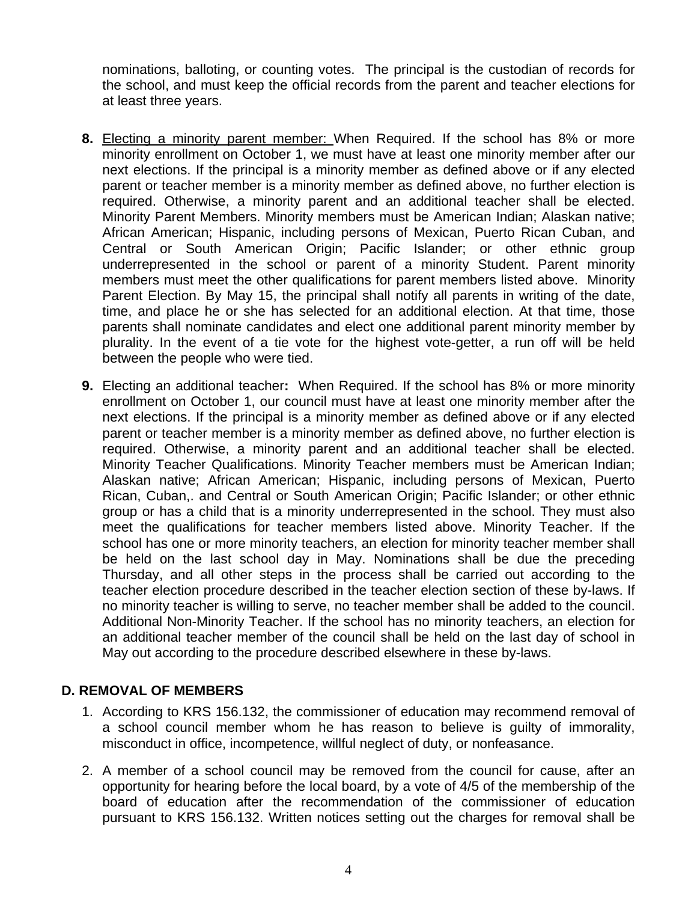nominations, balloting, or counting votes. The principal is the custodian of records for the school, and must keep the official records from the parent and teacher elections for at least three years.

- **8.** Electing a minority parent member: When Required. If the school has 8% or more minority enrollment on October 1, we must have at least one minority member after our next elections. If the principal is a minority member as defined above or if any elected parent or teacher member is a minority member as defined above, no further election is required. Otherwise, a minority parent and an additional teacher shall be elected. Minority Parent Members. Minority members must be American Indian; Alaskan native; African American; Hispanic, including persons of Mexican, Puerto Rican Cuban, and Central or South American Origin; Pacific Islander; or other ethnic group underrepresented in the school or parent of a minority Student. Parent minority members must meet the other qualifications for parent members listed above. Minority Parent Election. By May 15, the principal shall notify all parents in writing of the date, time, and place he or she has selected for an additional election. At that time, those parents shall nominate candidates and elect one additional parent minority member by plurality. In the event of a tie vote for the highest vote-getter, a run off will be held between the people who were tied.
- **9.** Electing an additional teacher**:** When Required. If the school has 8% or more minority enrollment on October 1, our council must have at least one minority member after the next elections. If the principal is a minority member as defined above or if any elected parent or teacher member is a minority member as defined above, no further election is required. Otherwise, a minority parent and an additional teacher shall be elected. Minority Teacher Qualifications. Minority Teacher members must be American Indian; Alaskan native; African American; Hispanic, including persons of Mexican, Puerto Rican, Cuban,. and Central or South American Origin; Pacific Islander; or other ethnic group or has a child that is a minority underrepresented in the school. They must also meet the qualifications for teacher members listed above. Minority Teacher. If the school has one or more minority teachers, an election for minority teacher member shall be held on the last school day in May. Nominations shall be due the preceding Thursday, and all other steps in the process shall be carried out according to the teacher election procedure described in the teacher election section of these by-laws. If no minority teacher is willing to serve, no teacher member shall be added to the council. Additional Non-Minority Teacher. If the school has no minority teachers, an election for an additional teacher member of the council shall be held on the last day of school in May out according to the procedure described elsewhere in these by-laws.

#### **D. REMOVAL OF MEMBERS**

- 1. According to KRS 156.132, the commissioner of education may recommend removal of a school council member whom he has reason to believe is guilty of immorality, misconduct in office, incompetence, willful neglect of duty, or nonfeasance.
- 2. A member of a school council may be removed from the council for cause, after an opportunity for hearing before the local board, by a vote of 4/5 of the membership of the board of education after the recommendation of the commissioner of education pursuant to KRS 156.132. Written notices setting out the charges for removal shall be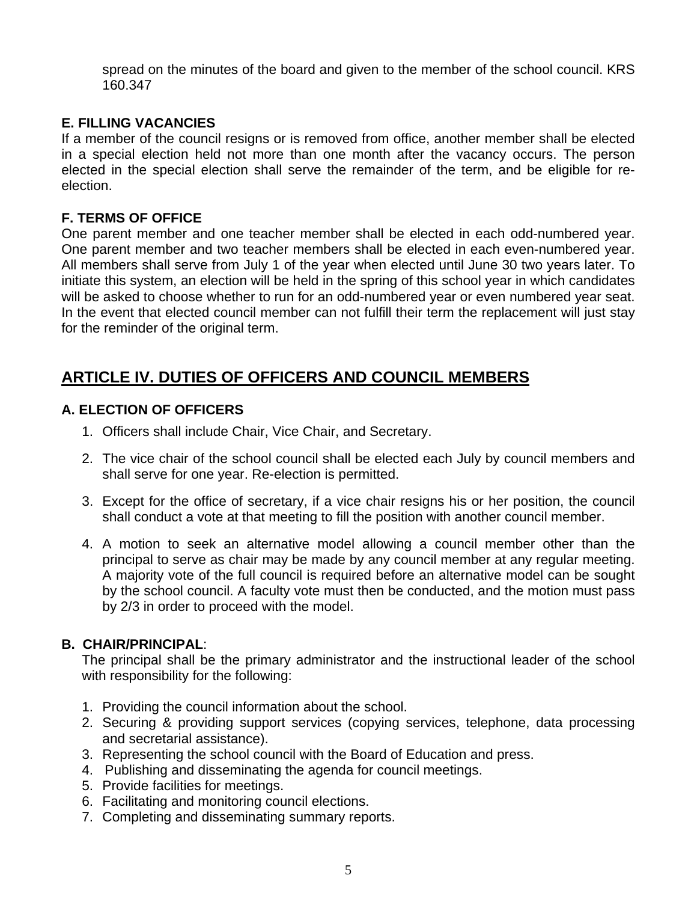spread on the minutes of the board and given to the member of the school council. KRS 160.347

#### **E. FILLING VACANCIES**

If a member of the council resigns or is removed from office, another member shall be elected in a special election held not more than one month after the vacancy occurs. The person elected in the special election shall serve the remainder of the term, and be eligible for reelection.

#### **F. TERMS OF OFFICE**

One parent member and one teacher member shall be elected in each odd-numbered year. One parent member and two teacher members shall be elected in each even-numbered year. All members shall serve from July 1 of the year when elected until June 30 two years later. To initiate this system, an election will be held in the spring of this school year in which candidates will be asked to choose whether to run for an odd-numbered year or even numbered year seat. In the event that elected council member can not fulfill their term the replacement will just stay for the reminder of the original term.

# **ARTICLE IV. DUTIES OF OFFICERS AND COUNCIL MEMBERS**

#### **A. ELECTION OF OFFICERS**

- 1. Officers shall include Chair, Vice Chair, and Secretary.
- 2. The vice chair of the school council shall be elected each July by council members and shall serve for one year. Re-election is permitted.
- 3. Except for the office of secretary, if a vice chair resigns his or her position, the council shall conduct a vote at that meeting to fill the position with another council member.
- 4. A motion to seek an alternative model allowing a council member other than the principal to serve as chair may be made by any council member at any regular meeting. A majority vote of the full council is required before an alternative model can be sought by the school council. A faculty vote must then be conducted, and the motion must pass by 2/3 in order to proceed with the model.

#### **B. CHAIR/PRINCIPAL**:

The principal shall be the primary administrator and the instructional leader of the school with responsibility for the following:

- 1. Providing the council information about the school.
- 2. Securing & providing support services (copying services, telephone, data processing and secretarial assistance).
- 3. Representing the school council with the Board of Education and press.
- 4. Publishing and disseminating the agenda for council meetings.
- 5. Provide facilities for meetings.
- 6. Facilitating and monitoring council elections.
- 7. Completing and disseminating summary reports.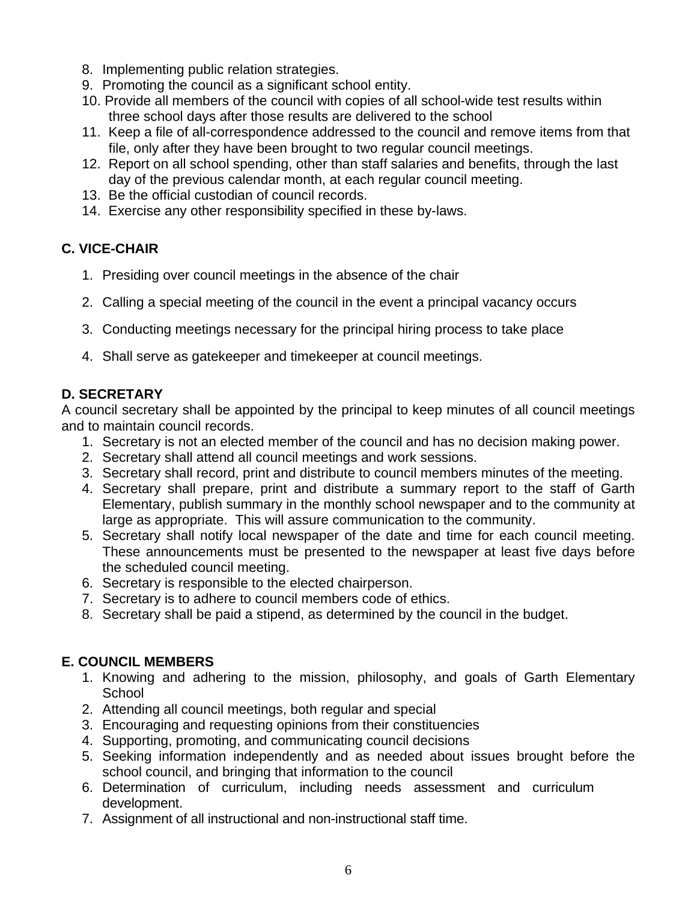- 8. Implementing public relation strategies.
- 9. Promoting the council as a significant school entity.
- 10. Provide all members of the council with copies of all school-wide test results within three school days after those results are delivered to the school
- 11. Keep a file of all-correspondence addressed to the council and remove items from that file, only after they have been brought to two regular council meetings.
- 12. Report on all school spending, other than staff salaries and benefits, through the last day of the previous calendar month, at each regular council meeting.
- 13. Be the official custodian of council records.
- 14. Exercise any other responsibility specified in these by-laws.

# **C. VICE-CHAIR**

- 1. Presiding over council meetings in the absence of the chair
- 2. Calling a special meeting of the council in the event a principal vacancy occurs
- 3. Conducting meetings necessary for the principal hiring process to take place
- 4. Shall serve as gatekeeper and timekeeper at council meetings.

# **D. SECRETARY**

A council secretary shall be appointed by the principal to keep minutes of all council meetings and to maintain council records.

- 1. Secretary is not an elected member of the council and has no decision making power.
- 2. Secretary shall attend all council meetings and work sessions.
- 3. Secretary shall record, print and distribute to council members minutes of the meeting.
- 4. Secretary shall prepare, print and distribute a summary report to the staff of Garth Elementary, publish summary in the monthly school newspaper and to the community at large as appropriate. This will assure communication to the community.
- 5. Secretary shall notify local newspaper of the date and time for each council meeting. These announcements must be presented to the newspaper at least five days before the scheduled council meeting.
- 6. Secretary is responsible to the elected chairperson.
- 7. Secretary is to adhere to council members code of ethics.
- 8. Secretary shall be paid a stipend, as determined by the council in the budget.

# **E. COUNCIL MEMBERS**

- 1. Knowing and adhering to the mission, philosophy, and goals of Garth Elementary **School**
- 2. Attending all council meetings, both regular and special
- 3. Encouraging and requesting opinions from their constituencies
- 4. Supporting, promoting, and communicating council decisions
- 5. Seeking information independently and as needed about issues brought before the school council, and bringing that information to the council
- 6. Determination of curriculum, including needs assessment and curriculum development.
- 7. Assignment of all instructional and non-instructional staff time.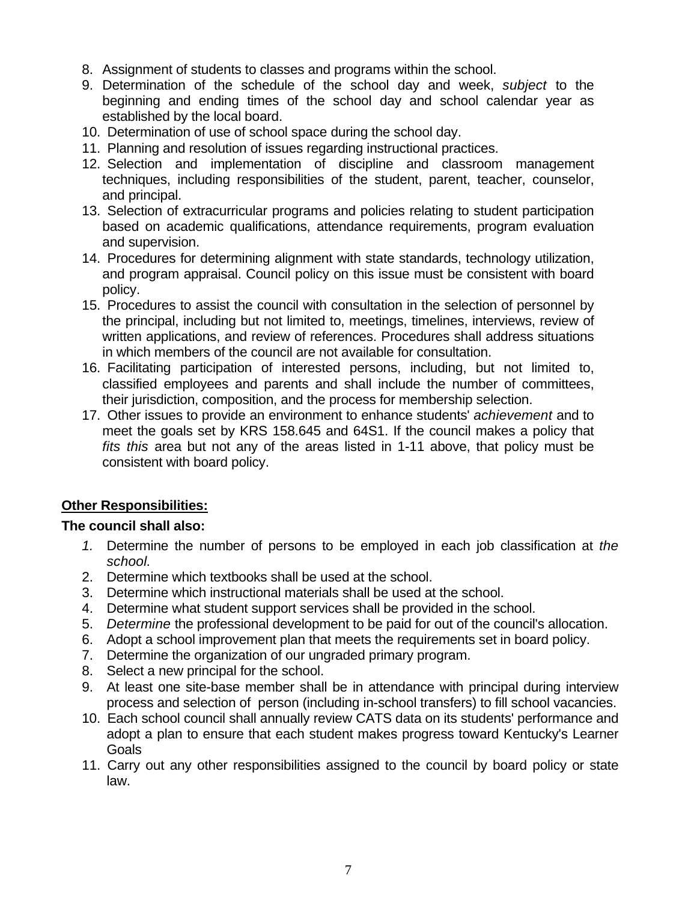- 8. Assignment of students to classes and programs within the school.
- 9. Determination of the schedule of the school day and week, *subject* to the beginning and ending times of the school day and school calendar year as established by the local board.
- 10. Determination of use of school space during the school day.
- 11. Planning and resolution of issues regarding instructional practices.
- 12. Selection and implementation of discipline and classroom management techniques, including responsibilities of the student, parent, teacher, counselor, and principal.
- 13. Selection of extracurricular programs and policies relating to student participation based on academic qualifications, attendance requirements, program evaluation and supervision.
- 14. Procedures for determining alignment with state standards, technology utilization, and program appraisal. Council policy on this issue must be consistent with board policy.
- 15. Procedures to assist the council with consultation in the selection of personnel by the principal, including but not limited to, meetings, timelines, interviews, review of written applications, and review of references. Procedures shall address situations in which members of the council are not available for consultation.
- 16. Facilitating participation of interested persons, including, but not limited to, classified employees and parents and shall include the number of committees, their jurisdiction, composition, and the process for membership selection.
- 17. Other issues to provide an environment to enhance students' *achievement* and to meet the goals set by KRS 158.645 and 64S1. If the council makes a policy that *fits this* area but not any of the areas listed in 1-11 above, that policy must be consistent with board policy.

# **Other Responsibilities:**

#### **The council shall also:**

- *1.* Determine the number of persons to be employed in each job classification at *the school.*
- 2. Determine which textbooks shall be used at the school.
- 3. Determine which instructional materials shall be used at the school.
- 4. Determine what student support services shall be provided in the school.
- 5. *Determine* the professional development to be paid for out of the council's allocation.
- 6. Adopt a school improvement plan that meets the requirements set in board policy.
- 7. Determine the organization of our ungraded primary program.
- 8. Select a new principal for the school.
- 9. At least one site-base member shall be in attendance with principal during interview process and selection of person (including in-school transfers) to fill school vacancies.
- 10. Each school council shall annually review CATS data on its students' performance and adopt a plan to ensure that each student makes progress toward Kentucky's Learner **Goals**
- 11. Carry out any other responsibilities assigned to the council by board policy or state law.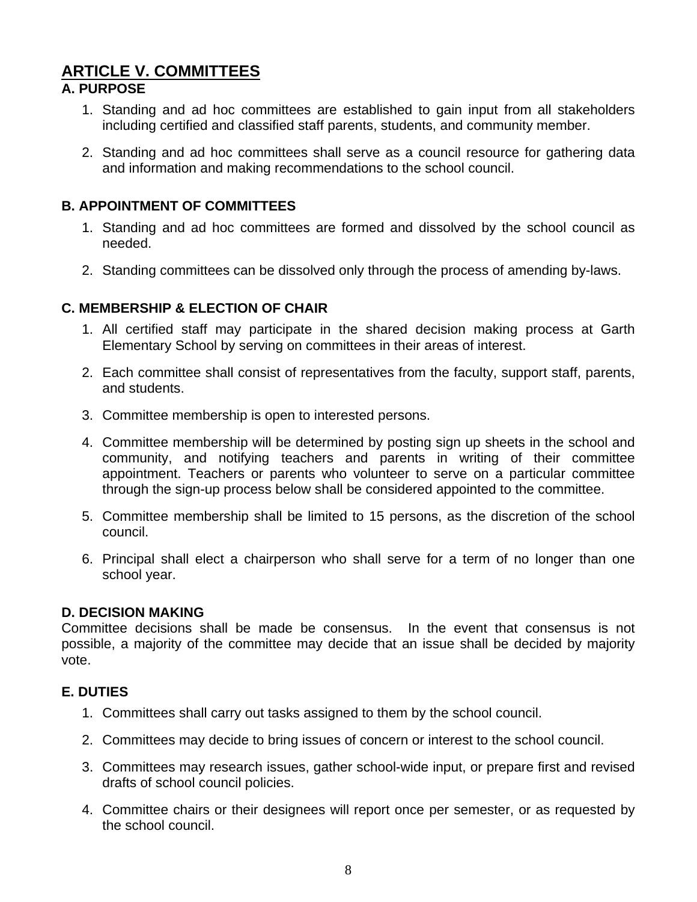# **ARTICLE V. COMMITTEES**

# **A. PURPOSE**

- 1. Standing and ad hoc committees are established to gain input from all stakeholders including certified and classified staff parents, students, and community member.
- 2. Standing and ad hoc committees shall serve as a council resource for gathering data and information and making recommendations to the school council.

# **B. APPOINTMENT OF COMMITTEES**

- 1. Standing and ad hoc committees are formed and dissolved by the school council as needed.
- 2. Standing committees can be dissolved only through the process of amending by-laws.

# **C. MEMBERSHIP & ELECTION OF CHAIR**

- 1. All certified staff may participate in the shared decision making process at Garth Elementary School by serving on committees in their areas of interest.
- 2. Each committee shall consist of representatives from the faculty, support staff, parents, and students.
- 3. Committee membership is open to interested persons.
- 4. Committee membership will be determined by posting sign up sheets in the school and community, and notifying teachers and parents in writing of their committee appointment. Teachers or parents who volunteer to serve on a particular committee through the sign-up process below shall be considered appointed to the committee.
- 5. Committee membership shall be limited to 15 persons, as the discretion of the school council.
- 6. Principal shall elect a chairperson who shall serve for a term of no longer than one school year.

#### **D. DECISION MAKING**

Committee decisions shall be made be consensus. In the event that consensus is not possible, a majority of the committee may decide that an issue shall be decided by majority vote.

# **E. DUTIES**

- 1. Committees shall carry out tasks assigned to them by the school council.
- 2. Committees may decide to bring issues of concern or interest to the school council.
- 3. Committees may research issues, gather school-wide input, or prepare first and revised drafts of school council policies.
- 4. Committee chairs or their designees will report once per semester, or as requested by the school council.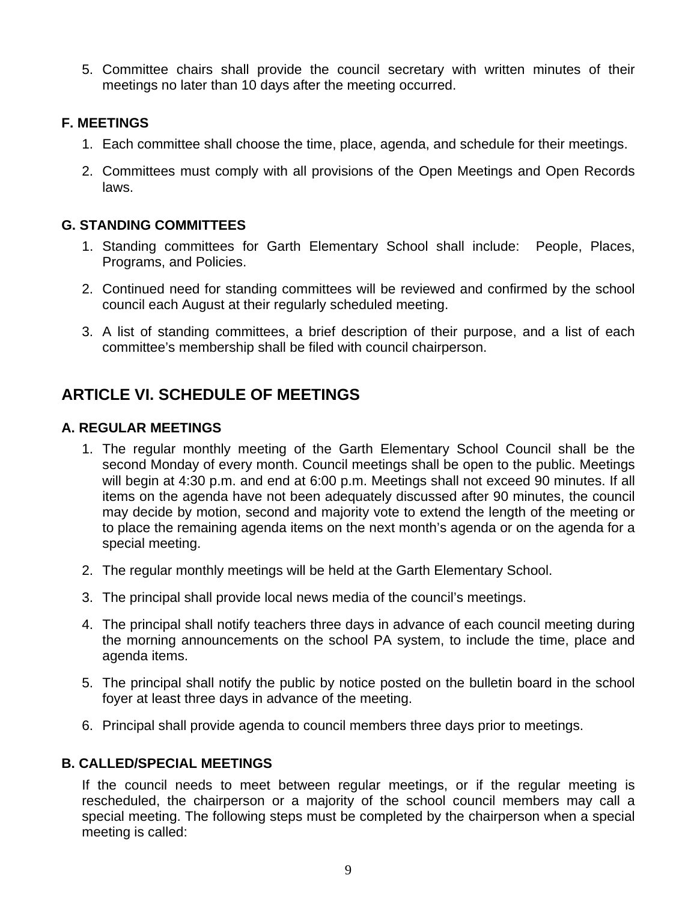5. Committee chairs shall provide the council secretary with written minutes of their meetings no later than 10 days after the meeting occurred.

#### **F. MEETINGS**

- 1. Each committee shall choose the time, place, agenda, and schedule for their meetings.
- 2. Committees must comply with all provisions of the Open Meetings and Open Records laws.

#### **G. STANDING COMMITTEES**

- 1. Standing committees for Garth Elementary School shall include: People, Places, Programs, and Policies.
- 2. Continued need for standing committees will be reviewed and confirmed by the school council each August at their regularly scheduled meeting.
- 3. A list of standing committees, a brief description of their purpose, and a list of each committee's membership shall be filed with council chairperson.

# **ARTICLE VI. SCHEDULE OF MEETINGS**

#### **A. REGULAR MEETINGS**

- 1. The regular monthly meeting of the Garth Elementary School Council shall be the second Monday of every month. Council meetings shall be open to the public. Meetings will begin at 4:30 p.m. and end at 6:00 p.m. Meetings shall not exceed 90 minutes. If all items on the agenda have not been adequately discussed after 90 minutes, the council may decide by motion, second and majority vote to extend the length of the meeting or to place the remaining agenda items on the next month's agenda or on the agenda for a special meeting.
- 2. The regular monthly meetings will be held at the Garth Elementary School.
- 3. The principal shall provide local news media of the council's meetings.
- 4. The principal shall notify teachers three days in advance of each council meeting during the morning announcements on the school PA system, to include the time, place and agenda items.
- 5. The principal shall notify the public by notice posted on the bulletin board in the school foyer at least three days in advance of the meeting.
- 6. Principal shall provide agenda to council members three days prior to meetings.

#### **B. CALLED/SPECIAL MEETINGS**

If the council needs to meet between regular meetings, or if the regular meeting is rescheduled, the chairperson or a majority of the school council members may call a special meeting. The following steps must be completed by the chairperson when a special meeting is called: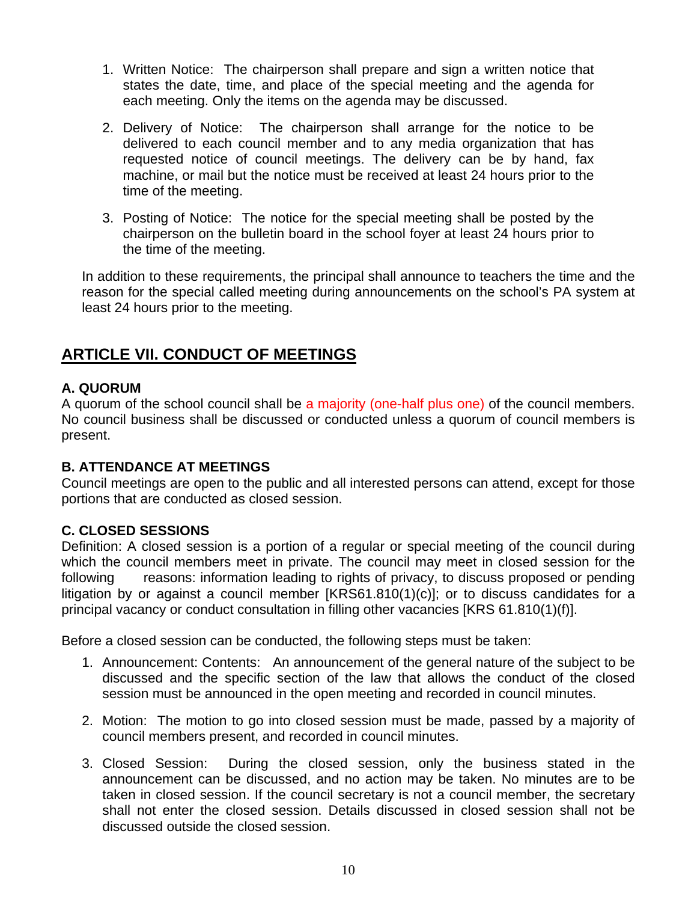- 1. Written Notice: The chairperson shall prepare and sign a written notice that states the date, time, and place of the special meeting and the agenda for each meeting. Only the items on the agenda may be discussed.
- 2. Delivery of Notice: The chairperson shall arrange for the notice to be delivered to each council member and to any media organization that has requested notice of council meetings. The delivery can be by hand, fax machine, or mail but the notice must be received at least 24 hours prior to the time of the meeting.
- 3. Posting of Notice: The notice for the special meeting shall be posted by the chairperson on the bulletin board in the school foyer at least 24 hours prior to the time of the meeting.

In addition to these requirements, the principal shall announce to teachers the time and the reason for the special called meeting during announcements on the school's PA system at least 24 hours prior to the meeting.

# **ARTICLE VII. CONDUCT OF MEETINGS**

# **A. QUORUM**

A quorum of the school council shall be a majority (one-half plus one) of the council members. No council business shall be discussed or conducted unless a quorum of council members is present.

# **B. ATTENDANCE AT MEETINGS**

Council meetings are open to the public and all interested persons can attend, except for those portions that are conducted as closed session.

# **C. CLOSED SESSIONS**

Definition: A closed session is a portion of a regular or special meeting of the council during which the council members meet in private. The council may meet in closed session for the following reasons: information leading to rights of privacy, to discuss proposed or pending litigation by or against a council member [KRS61.810(1)(c)]; or to discuss candidates for a principal vacancy or conduct consultation in filling other vacancies [KRS 61.810(1)(f)].

Before a closed session can be conducted, the following steps must be taken:

- 1. Announcement: Contents: An announcement of the general nature of the subject to be discussed and the specific section of the law that allows the conduct of the closed session must be announced in the open meeting and recorded in council minutes.
- 2. Motion: The motion to go into closed session must be made, passed by a majority of council members present, and recorded in council minutes.
- 3. Closed Session: During the closed session, only the business stated in the announcement can be discussed, and no action may be taken. No minutes are to be taken in closed session. If the council secretary is not a council member, the secretary shall not enter the closed session. Details discussed in closed session shall not be discussed outside the closed session.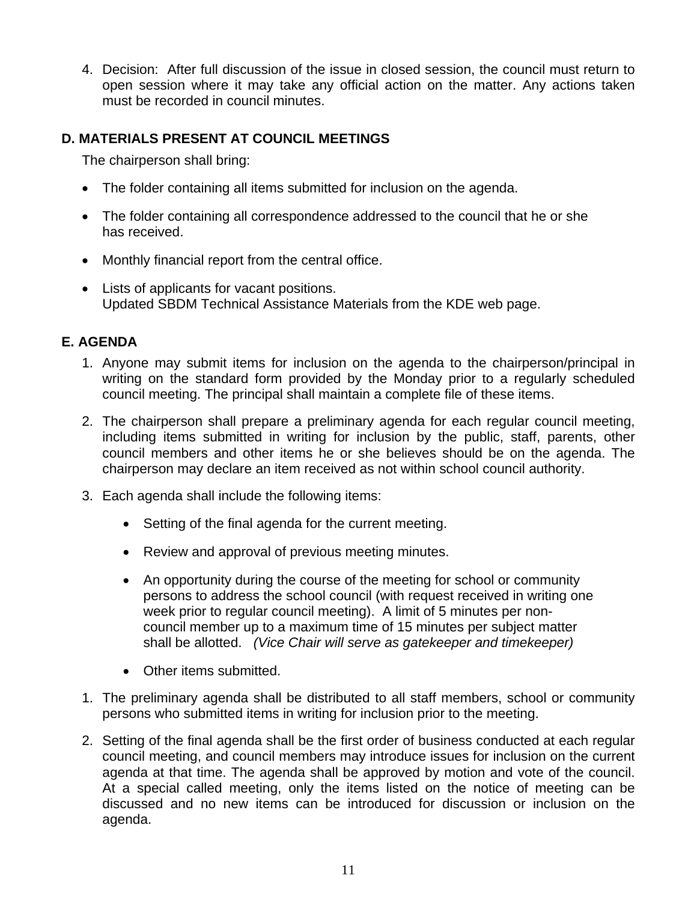4. Decision: After full discussion of the issue in closed session, the council must return to open session where it may take any official action on the matter. Any actions taken must be recorded in council minutes.

#### **D. MATERIALS PRESENT AT COUNCIL MEETINGS**

The chairperson shall bring:

- The folder containing all items submitted for inclusion on the agenda.
- The folder containing all correspondence addressed to the council that he or she has received.
- Monthly financial report from the central office.
- Lists of applicants for vacant positions. Updated SBDM Technical Assistance Materials from the KDE web page.

#### **E. AGENDA**

- 1. Anyone may submit items for inclusion on the agenda to the chairperson/principal in writing on the standard form provided by the Monday prior to a regularly scheduled council meeting. The principal shall maintain a complete file of these items.
- 2. The chairperson shall prepare a preliminary agenda for each regular council meeting, including items submitted in writing for inclusion by the public, staff, parents, other council members and other items he or she believes should be on the agenda. The chairperson may declare an item received as not within school council authority.
- 3. Each agenda shall include the following items:
	- Setting of the final agenda for the current meeting.
	- Review and approval of previous meeting minutes.
	- An opportunity during the course of the meeting for school or community persons to address the school council (with request received in writing one week prior to regular council meeting). A limit of 5 minutes per noncouncil member up to a maximum time of 15 minutes per subject matter shall be allotted. *(Vice Chair will serve as gatekeeper and timekeeper)*
	- Other items submitted.
- 1. The preliminary agenda shall be distributed to all staff members, school or community persons who submitted items in writing for inclusion prior to the meeting.
- 2. Setting of the final agenda shall be the first order of business conducted at each regular council meeting, and council members may introduce issues for inclusion on the current agenda at that time. The agenda shall be approved by motion and vote of the council. At a special called meeting, only the items listed on the notice of meeting can be discussed and no new items can be introduced for discussion or inclusion on the agenda.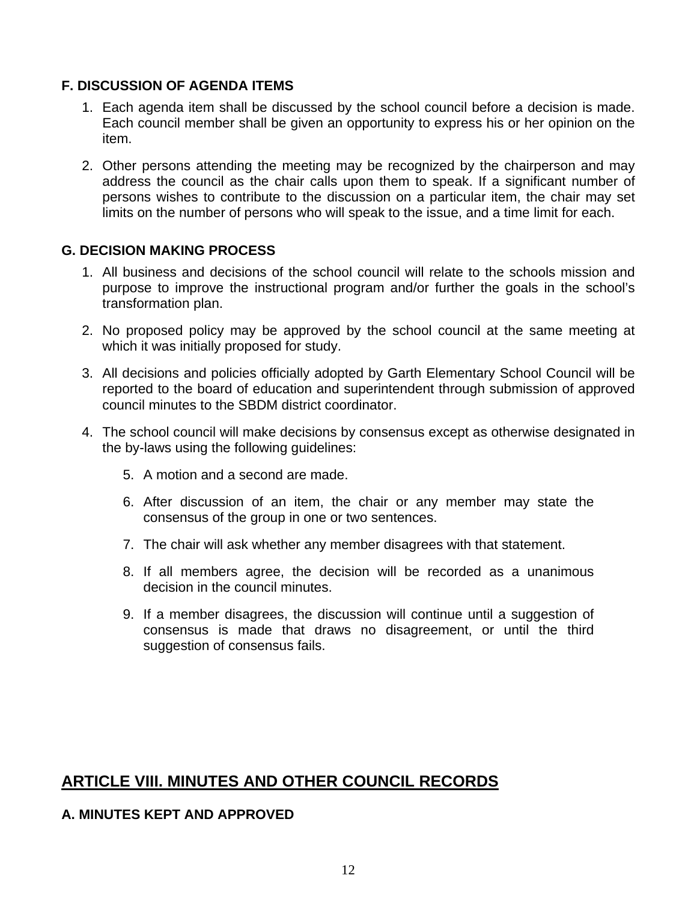#### **F. DISCUSSION OF AGENDA ITEMS**

- 1. Each agenda item shall be discussed by the school council before a decision is made. Each council member shall be given an opportunity to express his or her opinion on the item.
- 2. Other persons attending the meeting may be recognized by the chairperson and may address the council as the chair calls upon them to speak. If a significant number of persons wishes to contribute to the discussion on a particular item, the chair may set limits on the number of persons who will speak to the issue, and a time limit for each.

#### **G. DECISION MAKING PROCESS**

- 1. All business and decisions of the school council will relate to the schools mission and purpose to improve the instructional program and/or further the goals in the school's transformation plan.
- 2. No proposed policy may be approved by the school council at the same meeting at which it was initially proposed for study.
- 3. All decisions and policies officially adopted by Garth Elementary School Council will be reported to the board of education and superintendent through submission of approved council minutes to the SBDM district coordinator.
- 4. The school council will make decisions by consensus except as otherwise designated in the by-laws using the following guidelines:
	- 5. A motion and a second are made.
	- 6. After discussion of an item, the chair or any member may state the consensus of the group in one or two sentences.
	- 7. The chair will ask whether any member disagrees with that statement.
	- 8. If all members agree, the decision will be recorded as a unanimous decision in the council minutes.
	- 9. If a member disagrees, the discussion will continue until a suggestion of consensus is made that draws no disagreement, or until the third suggestion of consensus fails.

# **ARTICLE VIII. MINUTES AND OTHER COUNCIL RECORDS**

# **A. MINUTES KEPT AND APPROVED**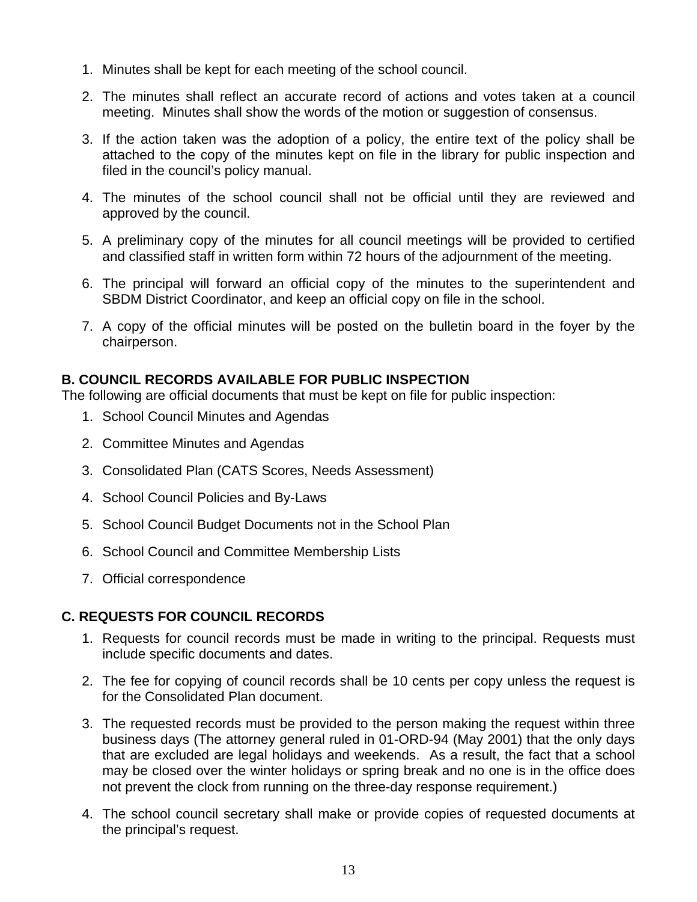- 1. Minutes shall be kept for each meeting of the school council.
- 2. The minutes shall reflect an accurate record of actions and votes taken at a council meeting. Minutes shall show the words of the motion or suggestion of consensus.
- 3. If the action taken was the adoption of a policy, the entire text of the policy shall be attached to the copy of the minutes kept on file in the library for public inspection and filed in the council's policy manual.
- 4. The minutes of the school council shall not be official until they are reviewed and approved by the council.
- 5. A preliminary copy of the minutes for all council meetings will be provided to certified and classified staff in written form within 72 hours of the adjournment of the meeting.
- 6. The principal will forward an official copy of the minutes to the superintendent and SBDM District Coordinator, and keep an official copy on file in the school.
- 7. A copy of the official minutes will be posted on the bulletin board in the foyer by the chairperson.

# **B. COUNCIL RECORDS AVAILABLE FOR PUBLIC INSPECTION**

The following are official documents that must be kept on file for public inspection:

- 1. School Council Minutes and Agendas
- 2. Committee Minutes and Agendas
- 3. Consolidated Plan (CATS Scores, Needs Assessment)
- 4. School Council Policies and By-Laws
- 5. School Council Budget Documents not in the School Plan
- 6. School Council and Committee Membership Lists
- 7. Official correspondence

# **C. REQUESTS FOR COUNCIL RECORDS**

- 1. Requests for council records must be made in writing to the principal. Requests must include specific documents and dates.
- 2. The fee for copying of council records shall be 10 cents per copy unless the request is for the Consolidated Plan document.
- 3. The requested records must be provided to the person making the request within three business days (The attorney general ruled in 01-ORD-94 (May 2001) that the only days that are excluded are legal holidays and weekends. As a result, the fact that a school may be closed over the winter holidays or spring break and no one is in the office does not prevent the clock from running on the three-day response requirement.)
- 4. The school council secretary shall make or provide copies of requested documents at the principal's request.